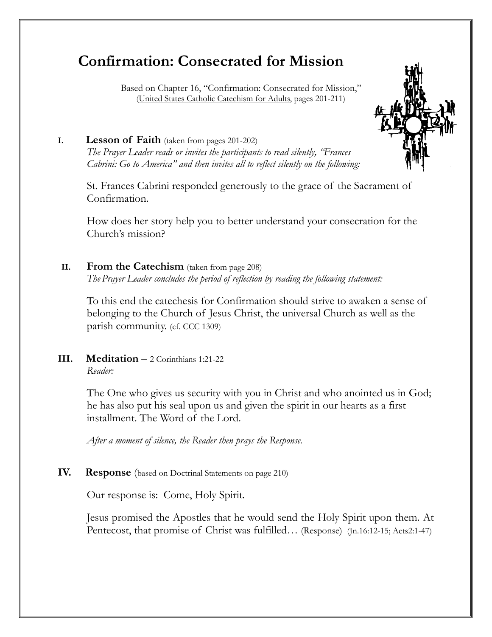# **Confirmation: Consecrated for Mission**

 Based on Chapter 16, "Confirmation: Consecrated for Mission," (United States Catholic Catechism for Adults, pages 201-211)



#### **I. Lesson of Faith** (taken from pages 201-202)

*The Prayer Leader reads or invites the participants to read silently, "Frances Cabrini: Go to America" and then invites all to reflect silently on the following:* 

St. Frances Cabrini responded generously to the grace of the Sacrament of Confirmation.

How does her story help you to better understand your consecration for the Church's mission?

#### **II. From the Catechism** (taken from page 208) *The Prayer Leader concludes the period of reflection by reading the following statement:*

 To this end the catechesis for Confirmation should strive to awaken a sense of belonging to the Church of Jesus Christ, the universal Church as well as the parish community. (cf. CCC 1309)

## **III. Meditation** – 2 Corinthians 1:21-22 *Reader:*

The One who gives us security with you in Christ and who anointed us in God; he has also put his seal upon us and given the spirit in our hearts as a first installment. The Word of the Lord.

*After a moment of silence, the Reader then prays the Response.*

# **IV. Response** (based on Doctrinal Statements on page 210)

Our response is: Come, Holy Spirit*.* 

Jesus promised the Apostles that he would send the Holy Spirit upon them. At Pentecost, that promise of Christ was fulfilled... (Response) (Jn.16:12-15; Acts2:1-47)